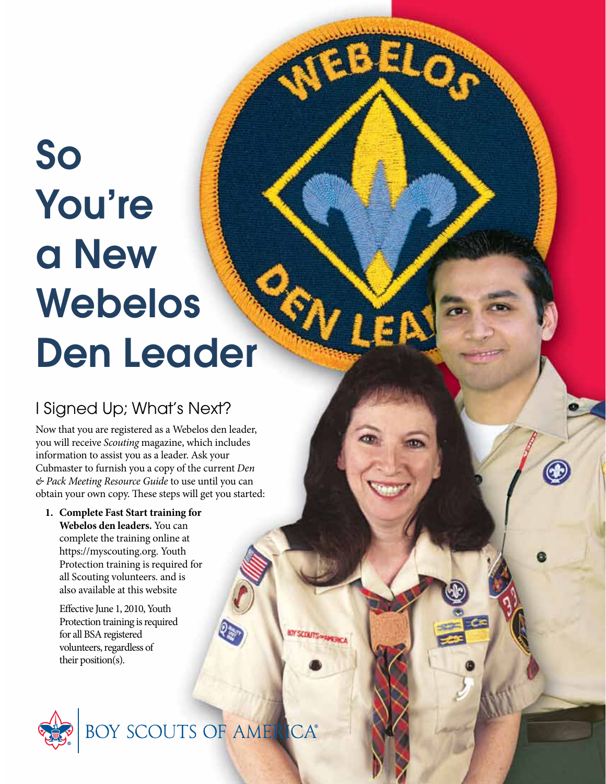# So You're a New Webelos Den Leader

## I Signed Up; What's Next?

Now that you are registered as a Webelos den leader, you will receive *Scouting* magazine, which includes information to assist you as a leader. Ask your Cubmaster to furnish you a copy of the current *Den & Pack Meeting Resource Guide* to use until you can obtain your own copy. These steps will get you started:

Œ

**1. Complete Fast Start training for Webelos den leaders.** You can complete the training online at https://myscouting.org. Youth Protection training is required for all Scouting volunteers. and is also available at this website

Effective June 1, 2010, Youth Protection training is required for all BSA registered volunteers, regardless of their position(s).



BOY SCOUTS OF AMER **ICA®**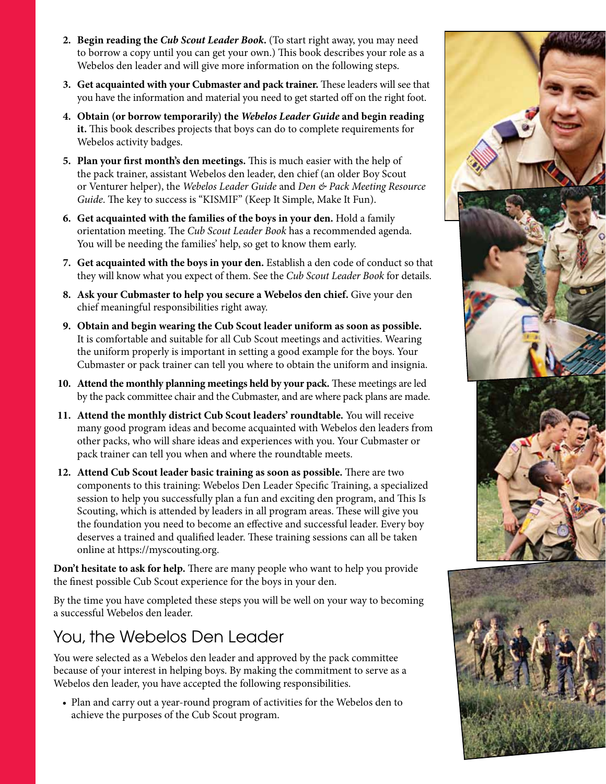- **2. Begin reading the** *Cub Scout Leader Book***.** (To start right away, you may need to borrow a copy until you can get your own.) This book describes your role as a Webelos den leader and will give more information on the following steps.
- **3. Get acquainted with your Cubmaster and pack trainer.** These leaders will see that you have the information and material you need to get started off on the right foot.
- **4. Obtain (or borrow temporarily) the** *Webelos Leader Guide* **and begin reading it.** This book describes projects that boys can do to complete requirements for Webelos activity badges.
- **5. Plan your first month's den meetings.** This is much easier with the help of the pack trainer, assistant Webelos den leader, den chief (an older Boy Scout or Venturer helper), the *Webelos Leader Guide* and *Den & Pack Meeting Resource Guide*. The key to success is "KISMIF" (Keep It Simple, Make It Fun).
- **6. Get acquainted with the families of the boys in your den.** Hold a family orientation meeting. The *Cub Scout Leader Book* has a recommended agenda. You will be needing the families' help, so get to know them early.
- **7. Get acquainted with the boys in your den.** Establish a den code of conduct so that they will know what you expect of them. See the *Cub Scout Leader Book* for details.
- **8. Ask your Cubmaster to help you secure a Webelos den chief.** Give your den chief meaningful responsibilities right away.
- **9. Obtain and begin wearing the Cub Scout leader uniform as soon as possible.** It is comfortable and suitable for all Cub Scout meetings and activities. Wearing the uniform properly is important in setting a good example for the boys. Your Cubmaster or pack trainer can tell you where to obtain the uniform and insignia.
- **10. Attend the monthly planning meetings held by your pack.** These meetings are led by the pack committee chair and the Cubmaster, and are where pack plans are made.
- **11. Attend the monthly district Cub Scout leaders' roundtable.** You will receive many good program ideas and become acquainted with Webelos den leaders from other packs, who will share ideas and experiences with you. Your Cubmaster or pack trainer can tell you when and where the roundtable meets.
- **12. Attend Cub Scout leader basic training as soon as possible.** There are two components to this training: Webelos Den Leader Specific Training, a specialized session to help you successfully plan a fun and exciting den program, and This Is Scouting, which is attended by leaders in all program areas. These will give you the foundation you need to become an effective and successful leader. Every boy deserves a trained and qualified leader. These training sessions can all be taken online at https://myscouting.org.

**Don't hesitate to ask for help.** There are many people who want to help you provide the finest possible Cub Scout experience for the boys in your den.

By the time you have completed these steps you will be well on your way to becoming a successful Webelos den leader.

#### You, the Webelos Den Leader

You were selected as a Webelos den leader and approved by the pack committee because of your interest in helping boys. By making the commitment to serve as a Webelos den leader, you have accepted the following responsibilities.

• Plan and carry out a year-round program of activities for the Webelos den to achieve the purposes of the Cub Scout program.

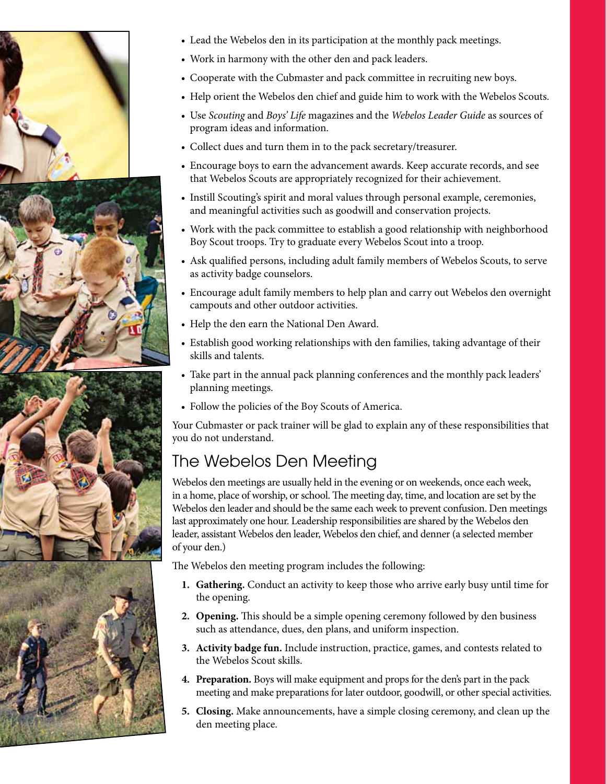





- Lead the Webelos den in its participation at the monthly pack meetings.
- • Work in harmony with the other den and pack leaders.
- Cooperate with the Cubmaster and pack committee in recruiting new boys.
- Help orient the Webelos den chief and guide him to work with the Webelos Scouts.
- • Use *Scouting* and *Boys' Life* magazines and the *Webelos Leader Guide* as sources of program ideas and information.
- • Collect dues and turn them in to the pack secretary/treasurer.
- Encourage boys to earn the advancement awards. Keep accurate records, and see that Webelos Scouts are appropriately recognized for their achievement.
- • Instill Scouting's spirit and moral values through personal example, ceremonies, and meaningful activities such as goodwill and conservation projects.
- Work with the pack committee to establish a good relationship with neighborhood Boy Scout troops. Try to graduate every Webelos Scout into a troop.
- Ask qualified persons, including adult family members of Webelos Scouts, to serve as activity badge counselors.
- Encourage adult family members to help plan and carry out Webelos den overnight campouts and other outdoor activities.
- Help the den earn the National Den Award.
- Establish good working relationships with den families, taking advantage of their skills and talents.
- Take part in the annual pack planning conferences and the monthly pack leaders' planning meetings.
- Follow the policies of the Boy Scouts of America.

Your Cubmaster or pack trainer will be glad to explain any of these responsibilities that you do not understand.

## The Webelos Den Meeting

Webelos den meetings are usually held in the evening or on weekends, once each week, in a home, place of worship, or school. The meeting day, time, and location are set by the Webelos den leader and should be the same each week to prevent confusion. Den meetings last approximately one hour. Leadership responsibilities are shared by the Webelos den leader, assistant Webelos den leader, Webelos den chief, and denner (a selected member of your den.)

The Webelos den meeting program includes the following:

- **1. Gathering.** Conduct an activity to keep those who arrive early busy until time for the opening.
- **2. Opening.** This should be a simple opening ceremony followed by den business such as attendance, dues, den plans, and uniform inspection.
- **3. Activity badge fun.** Include instruction, practice, games, and contests related to the Webelos Scout skills.
- **4. Preparation.** Boys will make equipment and props for the den's part in the pack meeting and make preparations for later outdoor, goodwill, or other special activities.
- **5. Closing.** Make announcements, have a simple closing ceremony, and clean up the den meeting place.